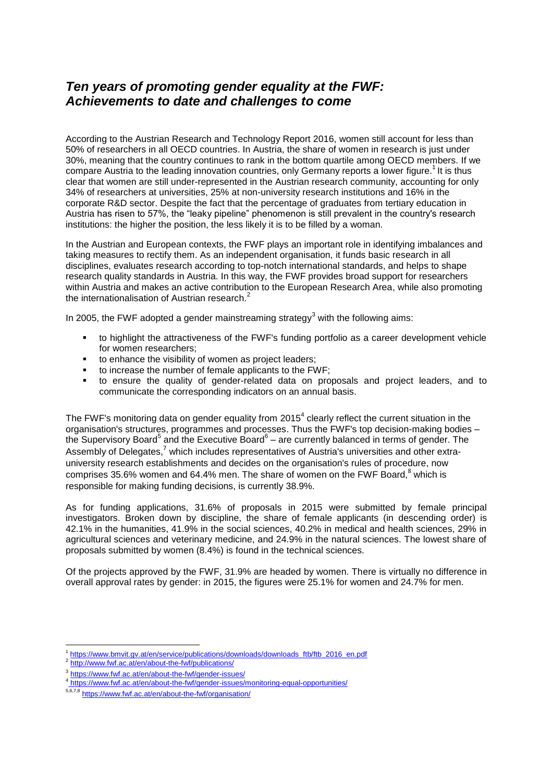## *Ten years of promoting gender equality at the FWF: Achievements to date and challenges to come*

According to the Austrian Research and Technology Report 2016, women still account for less than 50% of researchers in all OECD countries. In Austria, the share of women in research is just under 30%, meaning that the country continues to rank in the bottom quartile among OECD members. If we compare Austria to the leading innovation countries, only Germany reports a lower figure.<sup>1</sup> It is thus clear that women are still under-represented in the Austrian research community, accounting for only 34% of researchers at universities, 25% at non-university research institutions and 16% in the corporate R&D sector. Despite the fact that the percentage of graduates from tertiary education in Austria has risen to 57%, the "leaky pipeline" phenomenon is still prevalent in the country's research institutions: the higher the position, the less likely it is to be filled by a woman.

In the Austrian and European contexts, the FWF plays an important role in identifying imbalances and taking measures to rectify them. As an independent organisation, it funds basic research in all disciplines, evaluates research according to top-notch international standards, and helps to shape research quality standards in Austria. In this way, the FWF provides broad support for researchers within Austria and makes an active contribution to the European Research Area, while also promoting the internationalisation of Austrian research. $^{2}$ 

In 2005, the FWF adopted a gender mainstreaming strategy<sup>3</sup> with the following aims:

- to highlight the attractiveness of the FWF's funding portfolio as a career development vehicle for women researchers;
- to enhance the visibility of women as project leaders;
- to increase the number of female applicants to the FWF;
- to ensure the quality of gender-related data on proposals and project leaders, and to communicate the corresponding indicators on an annual basis.

The FWF's monitoring data on gender equality from 2015<sup>4</sup> clearly reflect the current situation in the organisation's structures, programmes and processes. Thus the FWF's top decision-making bodies – the Supervisory Board<sup>5</sup> and the Executive Board<sup>6</sup> – are currently balanced in terms of gender. The Assembly of Delegates, $7$  which includes representatives of Austria's universities and other extrauniversity research establishments and decides on the organisation's rules of procedure, now comprises 35.6% women and 64.4% men. The share of women on the FWF Board. $8$  which is responsible for making funding decisions, is currently 38.9%.

As for funding applications, 31.6% of proposals in 2015 were submitted by female principal investigators. Broken down by discipline, the share of female applicants (in descending order) is 42.1% in the humanities, 41.9% in the social sciences, 40.2% in medical and health sciences, 29% in agricultural sciences and veterinary medicine, and 24.9% in the natural sciences. The lowest share of proposals submitted by women (8.4%) is found in the technical sciences.

Of the projects approved by the FWF, 31.9% are headed by women. There is virtually no difference in overall approval rates by gender: in 2015, the figures were 25.1% for women and 24.7% for men.

**<sup>.</sup>** <sup>1</sup> [https://www.bmvit.gv.at/en/service/publications/downloads/downloads\\_ftb/ftb\\_2016\\_en.pdf](https://www.bmvit.gv.at/en/service/publications/downloads/downloads_ftb/ftb_2016_en.pdf)

<sup>2</sup> <http://www.fwf.ac.at/en/about-the-fwf/publications/>

<sup>&</sup>lt;sup>3</sup> <https://www.fwf.ac.at/en/about-the-fwf/gender-issues/>

<sup>&</sup>lt;sup>4</sup> https://www.fwf.ac.at/en/about-the-fwf/gender-issues/monitoring-equal-opportunities/

<sup>&</sup>lt;sup>5,6,7,8</sup> <https://www.fwf.ac.at/en/about-the-fwf/organisation/>